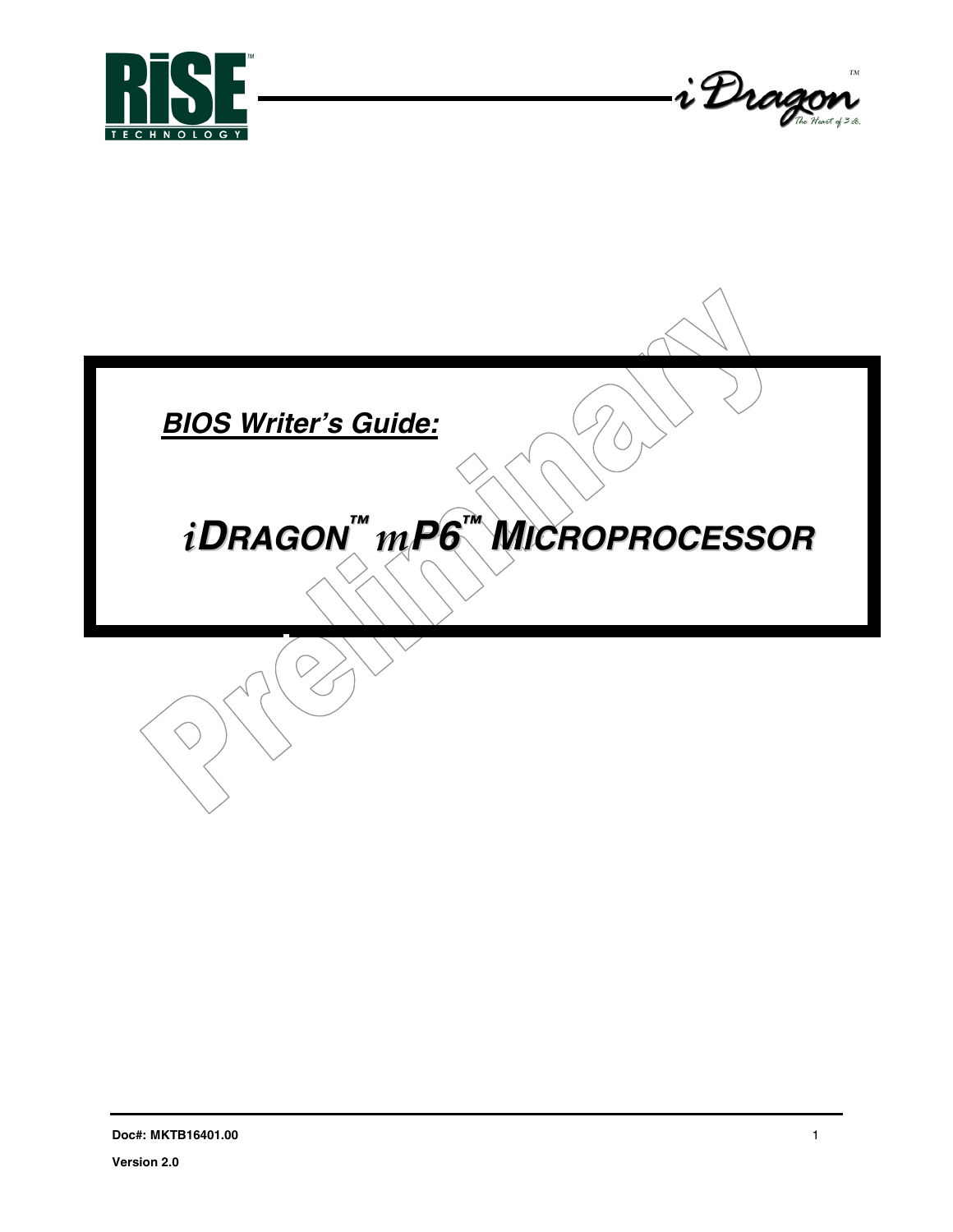



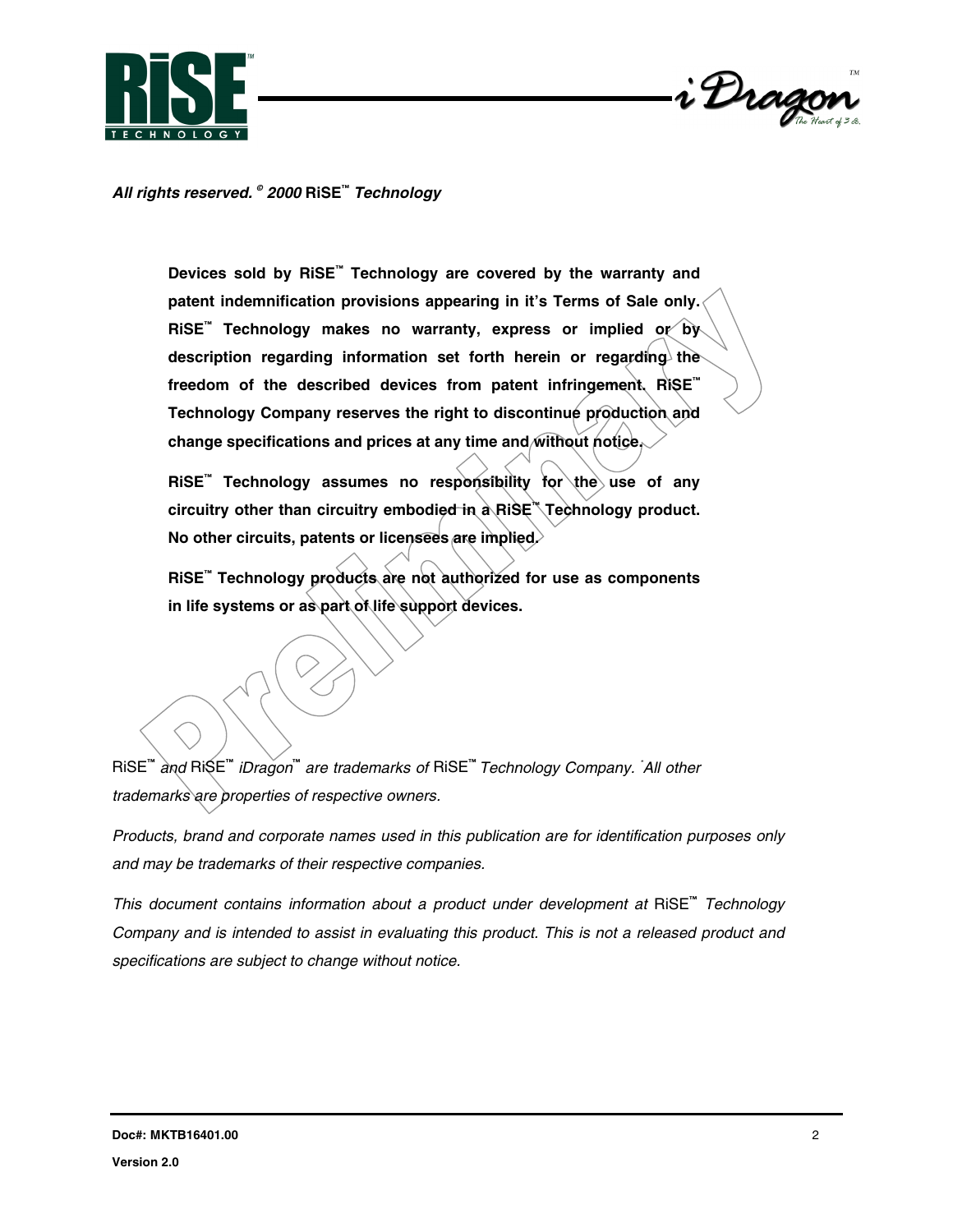



*All rights reserved. © 2000* **RiSE™** *Technology*

**Devices sold by RiSE™ Technology are covered by the warranty and patent indemnification provisions appearing in it's Terms of Sale only. RiSE™ Technology makes no warranty, express or implied or by** description regarding information set forth herein or regarding the **freedom of the described devices from patent infringement. RiSE™ Technology Company reserves the right to discontinue production and change specifications and prices at any time and without notice.**

RiSE<sup>™</sup> Technology assumes no responsibility for the use of any **circuitry other than circuitry embodied in a RiSE™ Technology product. No other circuits, patents or licensees are implied.**

**RiSE™ Technology products are not authorized for use as components in life systems or as part of life support devices.**

RiSE**™**  *and* RiSE**™** *iDragon***™**  *are trademarks of* RiSE**™** *Technology Company. \* All other trademarks are properties of respective owners.*

*Products, brand and corporate names used in this publication are for identification purposes only and may be trademarks of their respective companies.*

*This document contains information about a product under development at* RiSE**™** *Technology Company and is intended to assist in evaluating this product. This is not a released product and specifications are subject to change without notice.*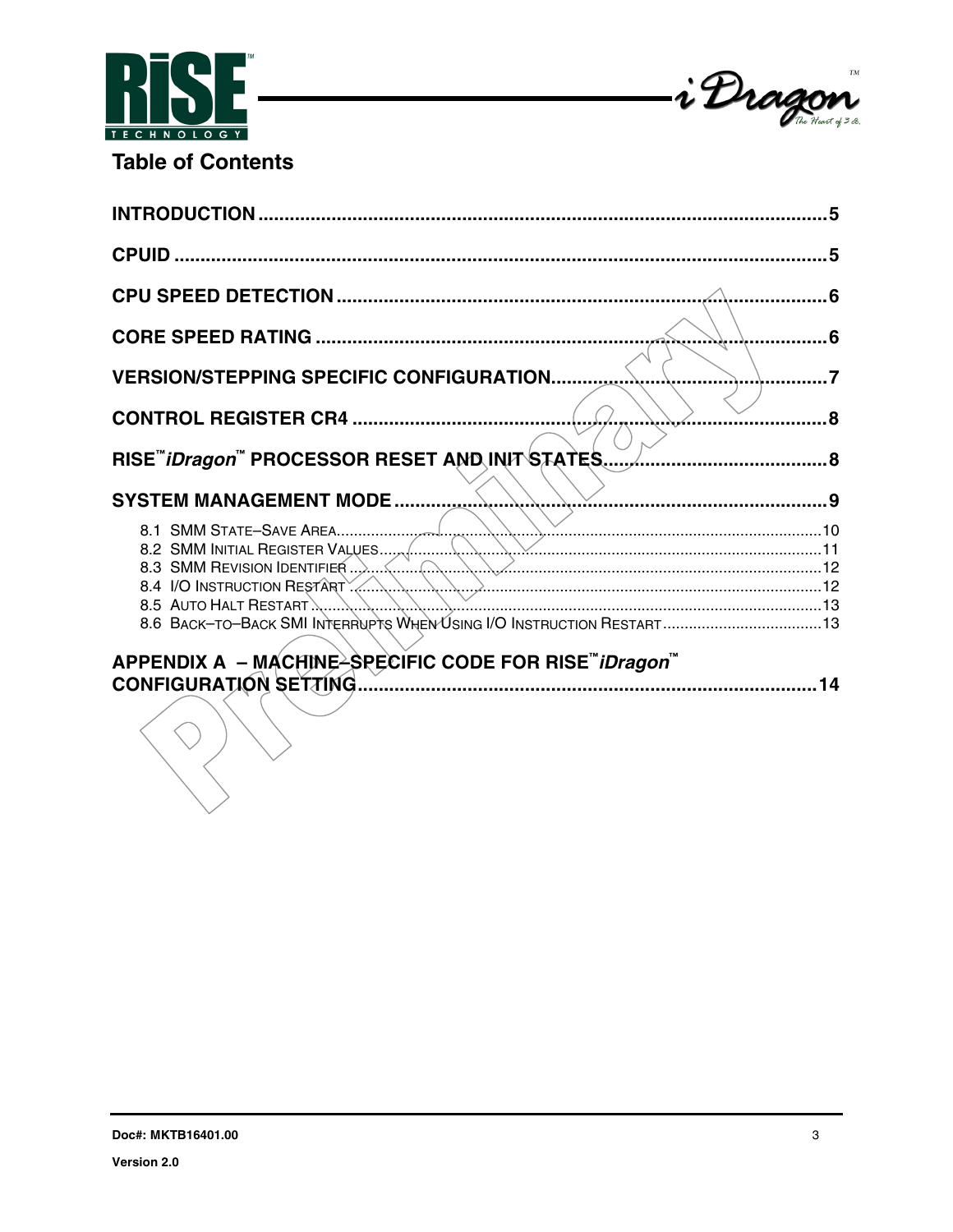



**Table of Contents** 

| . 6                                                                                                 |                |
|-----------------------------------------------------------------------------------------------------|----------------|
| <b>VERSION/STEPPING SPECIFIC CONFIGURATION.</b>                                                     | $\overline{z}$ |
| . 8                                                                                                 |                |
|                                                                                                     |                |
| <b>SYSTEM MANAGEMENT MODE </b>                                                                      |                |
| 8.4 I/O INSTRUCTION RESTART<br>8.6 BACK-TO-BACK SMI INTERRUPTS WHEN USING I/O INSTRUCTION RESTART13 |                |
| APPENDIX A - MACHINE <sup>2</sup> SPECIFIC CODE FOR RISE <sup>"</sup> <i>iDragon</i> "              |                |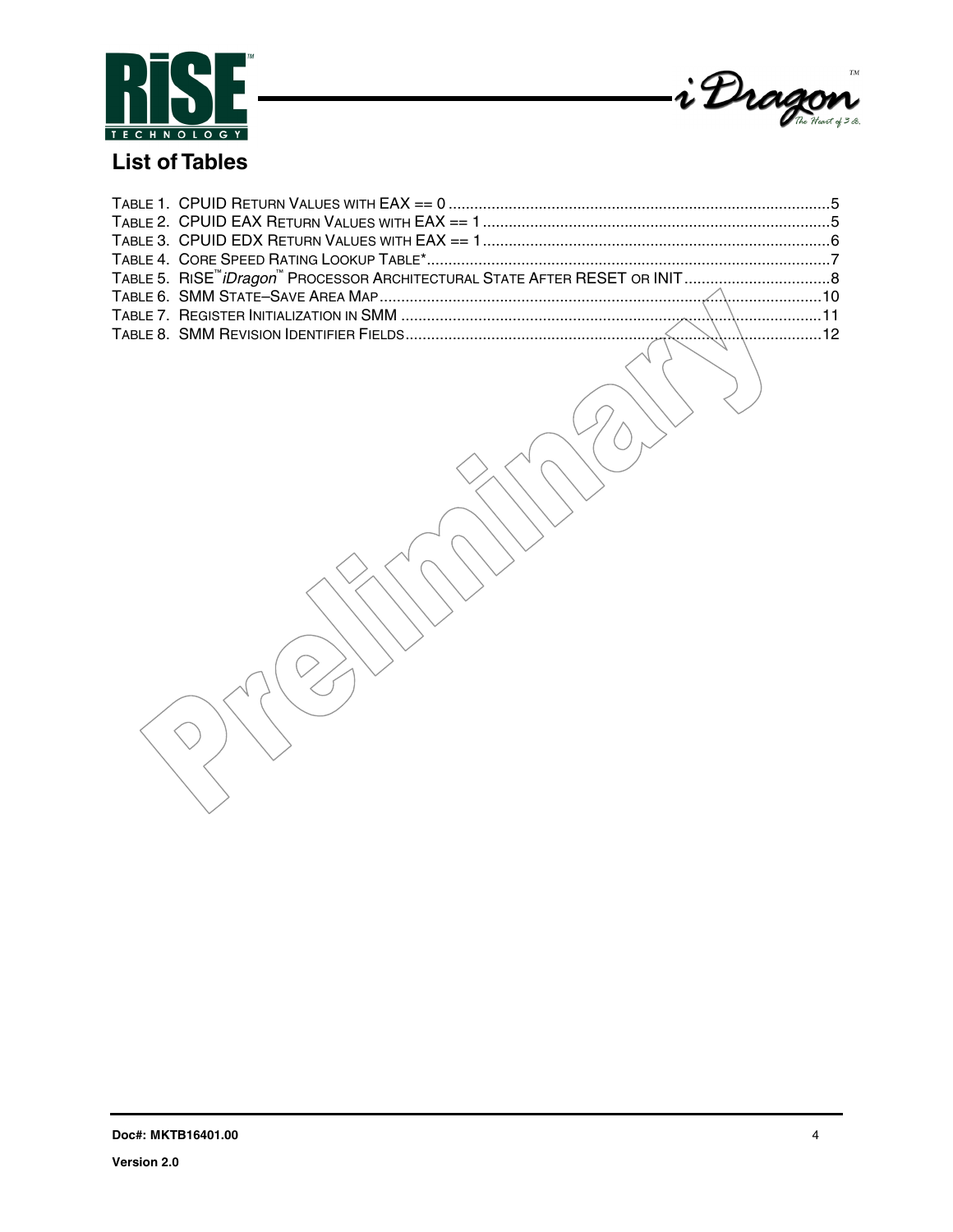



# **List of Tables**

 $\bigcirc$ 

 $\overline{\phantom{a}}$ 

 $(\geq$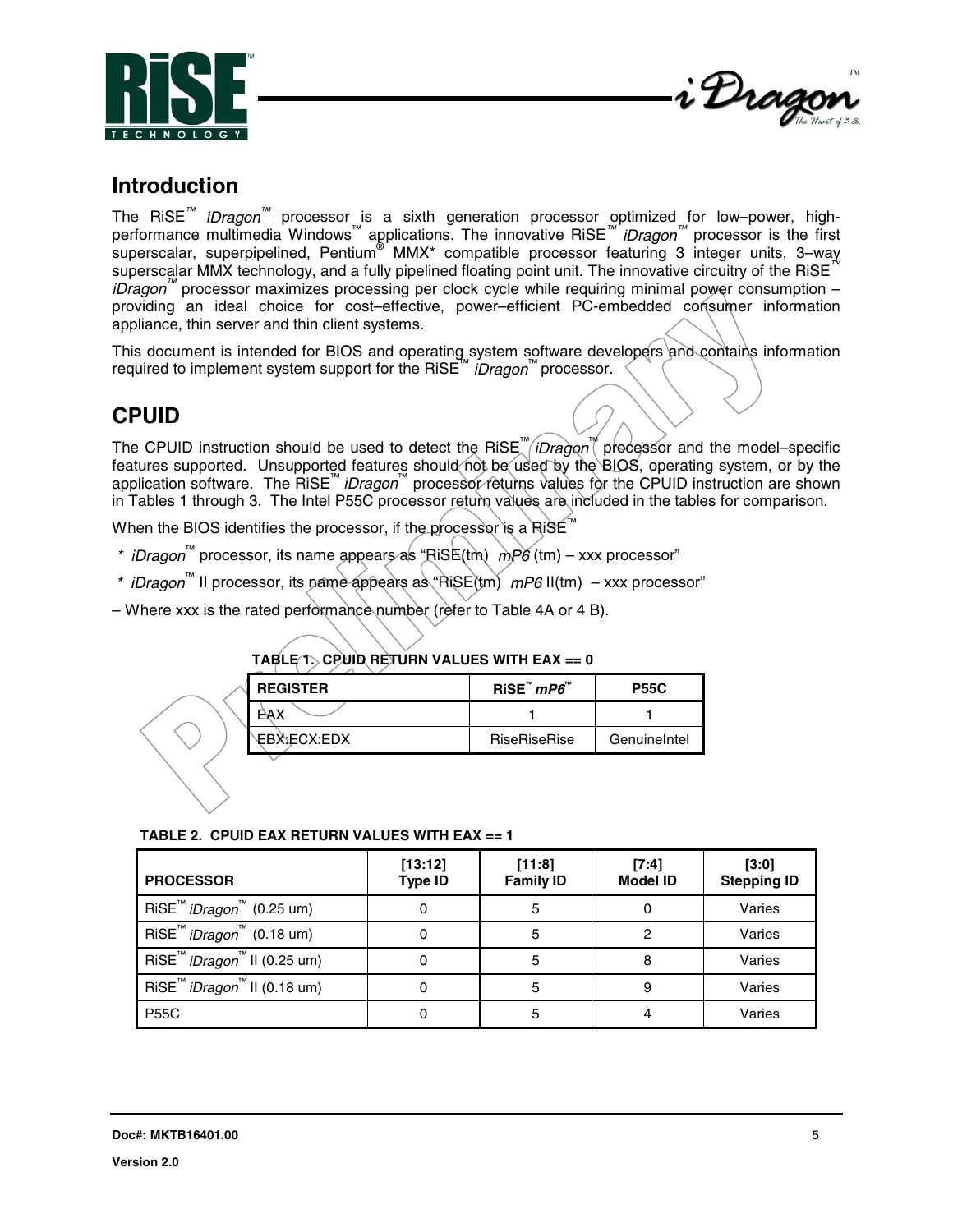<span id="page-4-0"></span>



## **Introduction**

The RiSE<sup>™</sup> *iDragon*<sup>™</sup> processor\_is a sixth generation processor optimized for low–power, highperformance multimedia Windows™ applications. The innovative RiSE*™ iDragon™* processor is the first .<br>superscalar, superpipelined, Pentium® MMX\* compatible processor featuring 3 integer units, 3–way superscalar MMX technology, and a fully pipelined floating point unit. The innovative circuitry of the RiSE*™ iDragon™* processor maximizes processing per clock cycle while requiring minimal power consumption – providing an ideal choice for cost–effective, power–efficient PC-embedded consumer information appliance, thin server and thin client systems.

This document is intended for BIOS and operating system software developers and contains information required to implement system support for the RiSE™ *iDragon*™ processor.

# **CPUID**

The CPUID instruction should be used to detect the RiSE™ *iDragon*™ processor and the model–specific features supported. Unsupported features should not be used by the BIOS, operating system, or by the application software. The RiSE™ *iDragon*™ processor returns values for the CPUID instruction are shown in Tables 1 through 3. The Intel P55C processor return values are included in the tables for comparison.

When the BIOS identifies the processor, if the processor is a RiSE™

- *\* iDragon*™ processor, its name appears as "RiSE(tm) *mP6* (tm) xxx processor"
- *\* iDragon*™ II processor, its name appears as "RiSE(tm) *mP6* II(tm) xxx processor"
- Where xxx is the rated performance number (refer to Table 4A or 4 B).

| <b>REGISTER</b> | RISE''' mP6'''      | <b>P55C</b>  |
|-----------------|---------------------|--------------|
| AΧ              |                     |              |
| EBX:ECX:EDX     | <b>RiseRiseRise</b> | GenuineIntel |

### **TABLE 1. CPUID RETURN VALUES WITH EAX == 0**

| TABLE 2. CPUID EAX RETURN VALUES WITH EAX == 1 |  |  |
|------------------------------------------------|--|--|
|                                                |  |  |

| <b>PROCESSOR</b>                                           | [13:12]<br><b>Type ID</b> | [11:8]<br><b>Family ID</b> | [7:4]<br><b>Model ID</b> | [3:0]<br><b>Stepping ID</b> |
|------------------------------------------------------------|---------------------------|----------------------------|--------------------------|-----------------------------|
| RiSE <sup>™</sup> <i>iDragon</i> <sup>™</sup> (0.25 um)    |                           | 5                          | 0                        | Varies                      |
| RiSE <sup>™</sup> <i>iDragon</i> <sup>™</sup> (0.18 um)    |                           | 5                          | 2                        | Varies                      |
| RiSE <sup>™</sup> <i>iDragon</i> <sup>™</sup> II (0.25 um) |                           | 5                          | 8                        | Varies                      |
| RiSE <sup>™</sup> <i>iDragon</i> <sup>™</sup> II (0.18 um) |                           | 5                          | 9                        | Varies                      |
| <b>P55C</b>                                                |                           | 5                          |                          | Varies                      |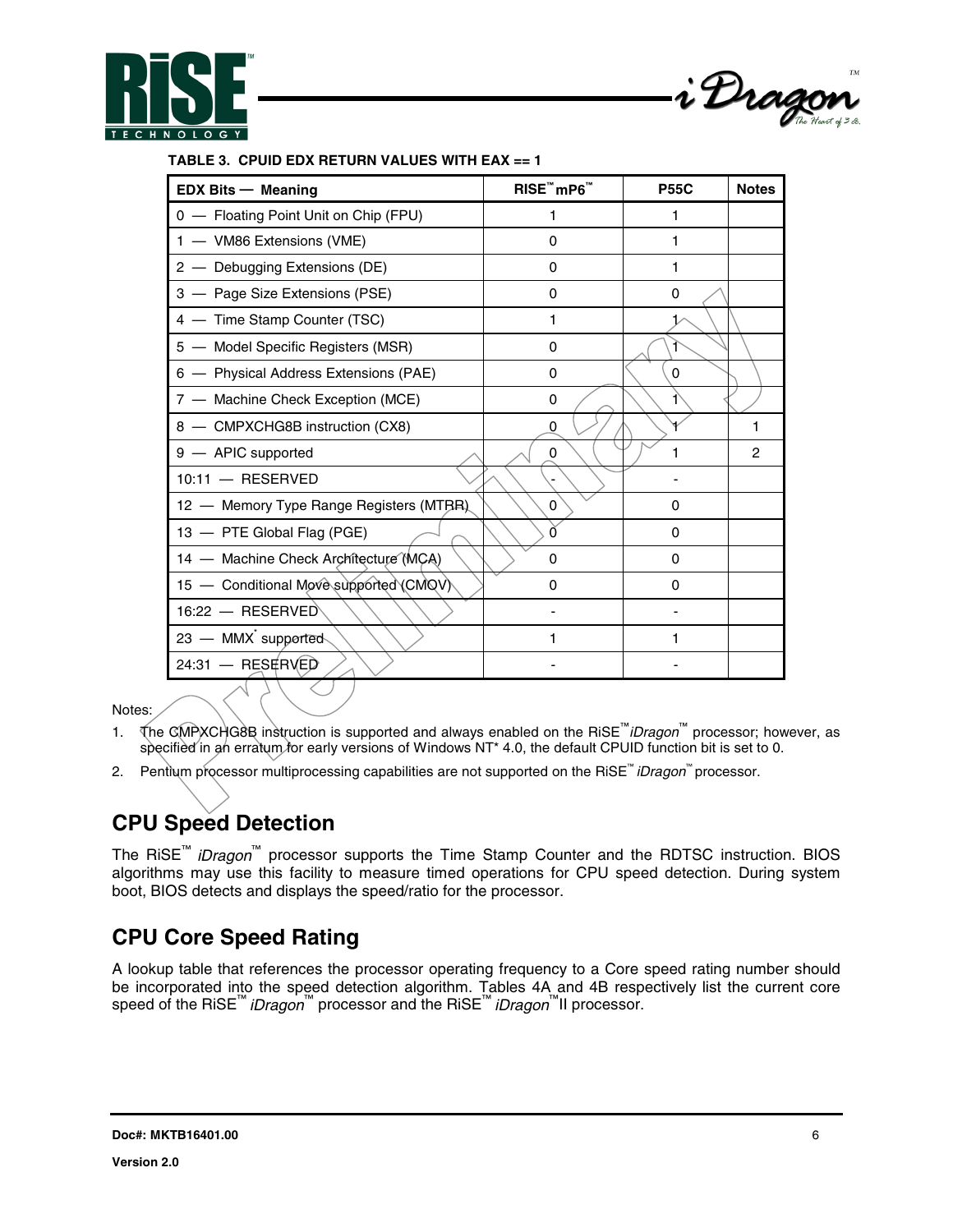



#### **TABLE 3. CPUID EDX RETURN VALUES WITH EAX == 1**

| <b>EDX Bits - Meaning</b>                | RISE™mP6™ | <b>P55C</b> | <b>Notes</b> |
|------------------------------------------|-----------|-------------|--------------|
| 0 - Floating Point Unit on Chip (FPU)    |           | 1           |              |
| 1 - VM86 Extensions (VME)                | 0         | 1           |              |
| 2 - Debugging Extensions (DE)            | 0         | 1           |              |
| 3 - Page Size Extensions (PSE)           | 0         | 0           |              |
| 4 - Time Stamp Counter (TSC)             | 1         |             |              |
| 5 - Model Specific Registers (MSR)       | 0         |             |              |
| 6 - Physical Address Extensions (PAE)    | $\Omega$  | 0           |              |
| 7 - Machine Check Exception (MCE)        | 0         |             |              |
| 8 - CMPXCHG8B instruction (CX8)          | 0         |             |              |
| 9 - APIC supported                       | 0         |             | 2            |
| $10:11 -$ RESERVED                       |           |             |              |
| 12 - Memory Type Range Registers (MTBR). | 0         | 0           |              |
| 13 - PTE Global Flag (PGE)               | O         | $\Omega$    |              |
| 14 - Machine Check Architecture (MCA)    | 0         | 0           |              |
| 15 - Conditional Move supported (CMQV)   | 0         | 0           |              |
| $16:22 - RESERVED$                       |           |             |              |
| 23 - MMX supported                       | 1         | 1           |              |
| $24:31 -$ RESERVED                       |           |             |              |

Notes:

- 1. The CMPXCHG8B instruction is supported and always enabled on the RiSE™*iDragon*™ processor; however, as specified in an erratum for early versions of Windows NT\* 4.0, the default CPUID function bit is set to 0.
- 2. Pentium processor multiprocessing capabilities are not supported on the RiSE™ *iDragon*™ processor.

# **CPU Speed Detection**

The RiSE™ *iDragon*™ processor supports the Time Stamp Counter and the RDTSC instruction. BIOS algorithms may use this facility to measure timed operations for CPU speed detection. During system boot, BIOS detects and displays the speed/ratio for the processor.

## **CPU Core Speed Rating**

A lookup table that references the processor operating frequency to a Core speed rating number should be incorporated into the speed detection algorithm. Tables 4A and 4B respectively list the current core speed of the RiSE™ *iDragon*™ processor and the RiSE™ *iDragon*™II processor.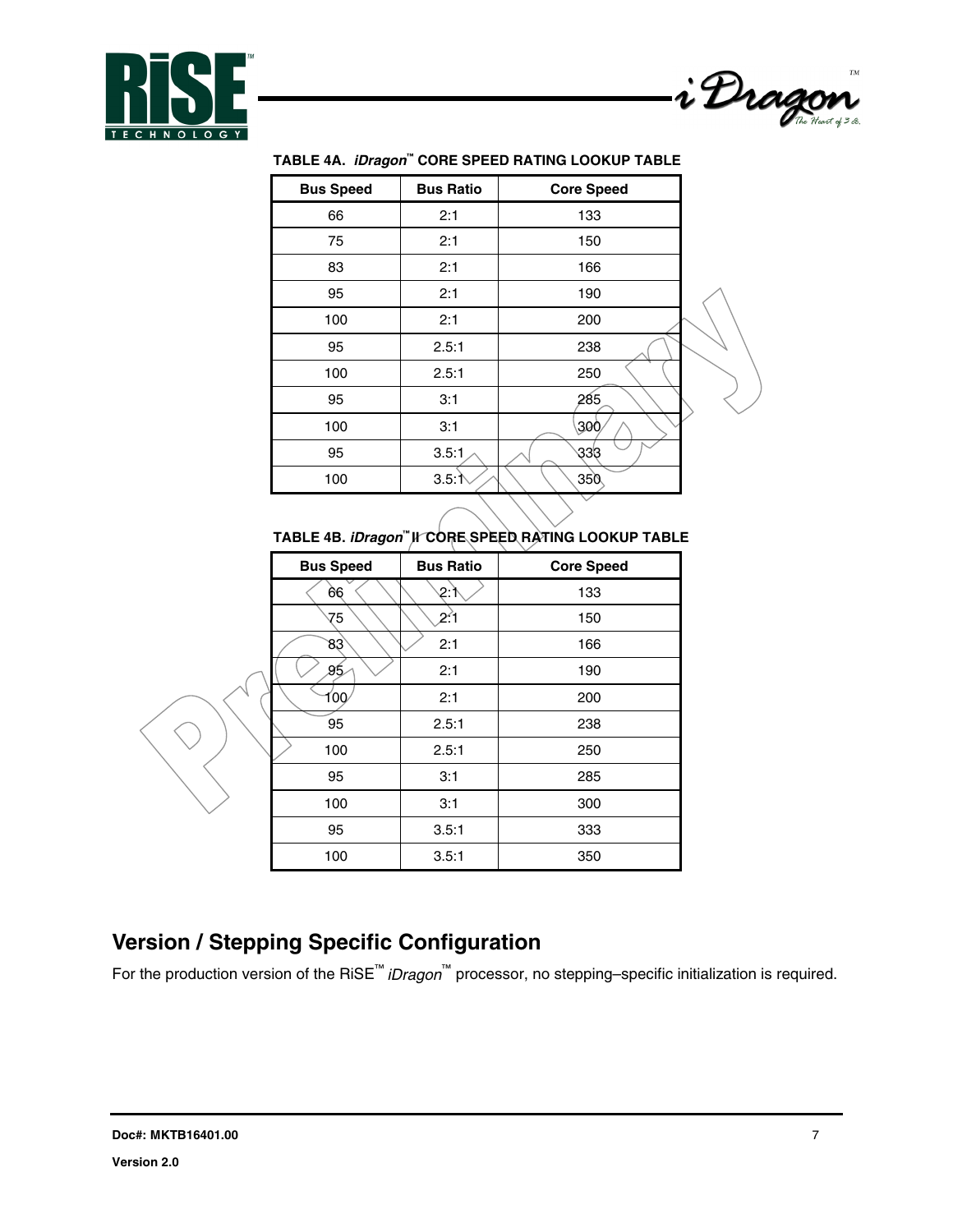



| <b>Bus Speed</b> | <b>Bus Ratio</b> | <b>Core Speed</b> |  |
|------------------|------------------|-------------------|--|
| 66               | 2:1              | 133               |  |
| 75               | 2:1              | 150               |  |
| 83               | 2:1              | 166               |  |
| 95               | 2:1              | 190               |  |
| 100              | 2:1              | 200               |  |
| 95               | 2.5:1            | 238               |  |
| 100              | 2.5:1            | 250               |  |
| 95               | 3:1              | 285               |  |
| 100              | 3:1              | 300               |  |
| 95               | 3.5:1            | 333               |  |
| 100              | 3.5:1            | 350               |  |
|                  |                  |                   |  |

### **TABLE 4A.** *iDragon***™ CORE SPEED RATING LOOKUP TABLE**

#### **TABLE 4B.** *iDragon***™ II CORE SPEED RATING LOOKUP TABLE**

| <b>Bus Speed</b> | <b>Bus Ratio</b> | <b>Core Speed</b> |
|------------------|------------------|-------------------|
| 66               | 2:               | 133               |
| 75               | 21               | 150               |
| 83               | 2:1              | 166               |
| 95               | 2:1              | 190               |
| 00               | 2:1              | 200               |
| 95               | 2.5:1            | 238               |
| 100              | 2.5:1            | 250               |
| 95               | 3:1              | 285               |
| 100              | 3:1              | 300               |
| 95               | 3.5:1            | 333               |
| 100              | 3.5:1            | 350               |



# **Version / Stepping Specific Configuration**

For the production version of the RiSE™ *iDragon*™ processor, no stepping–specific initialization is required.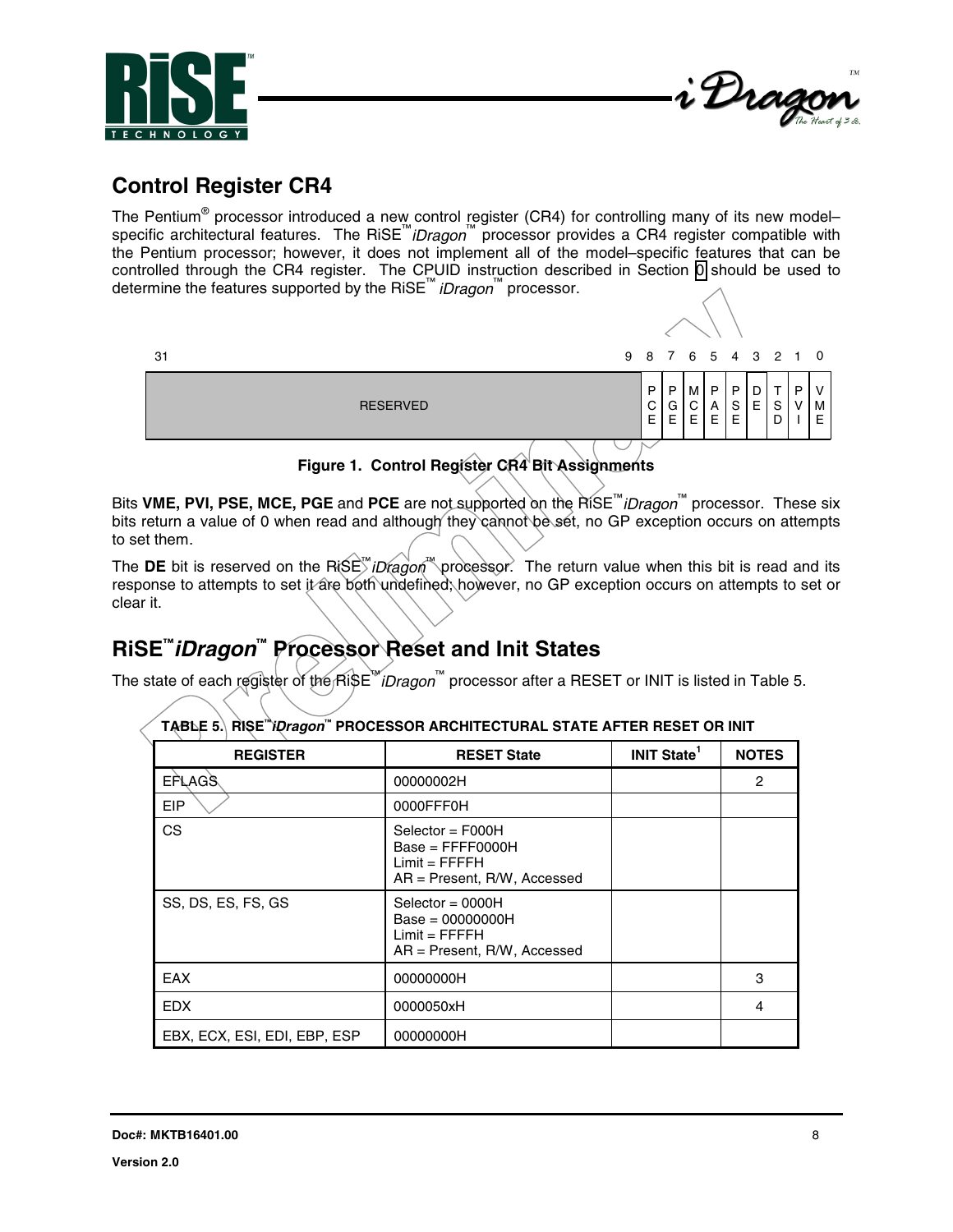



## **Control Register CR4**

The Pentium<sup>®</sup> processor introduced a new control register (CR4) for controlling many of its new modelspecific architectural features. The RiSE™*iDragon*™ processor provides a CR4 register compatible with the Pentium processor; however, it does not implement all of the model–specific features that can be controlled through the CR4 register. The CPUID instruction described in Section [0](#page-4-0) should be used to determine the features supported by the RiSE™ *iDragon*™ processor.



Bits **VME, PVI, PSE, MCE, PGE** and **PCE** are not supported on the RiSE™*iDragon*™ processor. These six bits return a value of 0 when read and although they cannot be set, no GP exception occurs on attempts to set them.

The **DE** bit is reserved on the RiSE™*iDragon*™ processor. The return value when this bit is read and its response to attempts to set it are both undefined; however, no GP exception occurs on attempts to set or clear it.

# **RiSE™***iDragon***™ Processor Reset and Init States**

The state of each register of the RiSE™*iDragon*™ processor after a RESET or INIT is listed in Table 5.

| <u>IABLE 3.\ RISE <i>IUREGO</i>N_PROCESSOR ARCHITECTURAL STATE AFTER RESET OR INIT</u> |                                                                                               |                               |              |  |
|----------------------------------------------------------------------------------------|-----------------------------------------------------------------------------------------------|-------------------------------|--------------|--|
| <b>REGISTER</b>                                                                        | <b>RESET State</b>                                                                            | <b>INIT State<sup>1</sup></b> | <b>NOTES</b> |  |
| <b>EFLAGS</b>                                                                          | 00000002H                                                                                     |                               | 2            |  |
| <b>EIP</b>                                                                             | 0000FFF0H                                                                                     |                               |              |  |
| <b>CS</b>                                                                              | $Select = F000H$<br>$Base = FFFF0000H$<br>$Limit = FFFFH$<br>$AR = Present$ , R/W, Accessed   |                               |              |  |
| SS, DS, ES, FS, GS                                                                     | Selector = $0000H$<br>$Base = 00000000H$<br>$Limit = FFFFH$<br>$AR = Present$ , R/W, Accessed |                               |              |  |
| <b>EAX</b>                                                                             | 00000000H                                                                                     |                               | 3            |  |
| <b>EDX</b>                                                                             | 0000050xH                                                                                     |                               | 4            |  |
| EBX, ECX, ESI, EDI, EBP, ESP                                                           | 00000000H                                                                                     |                               |              |  |

**TABLE 5. RISE™***iDragon***™ PROCESSOR ARCHITECTURAL STATE AFTER RESET OR INIT**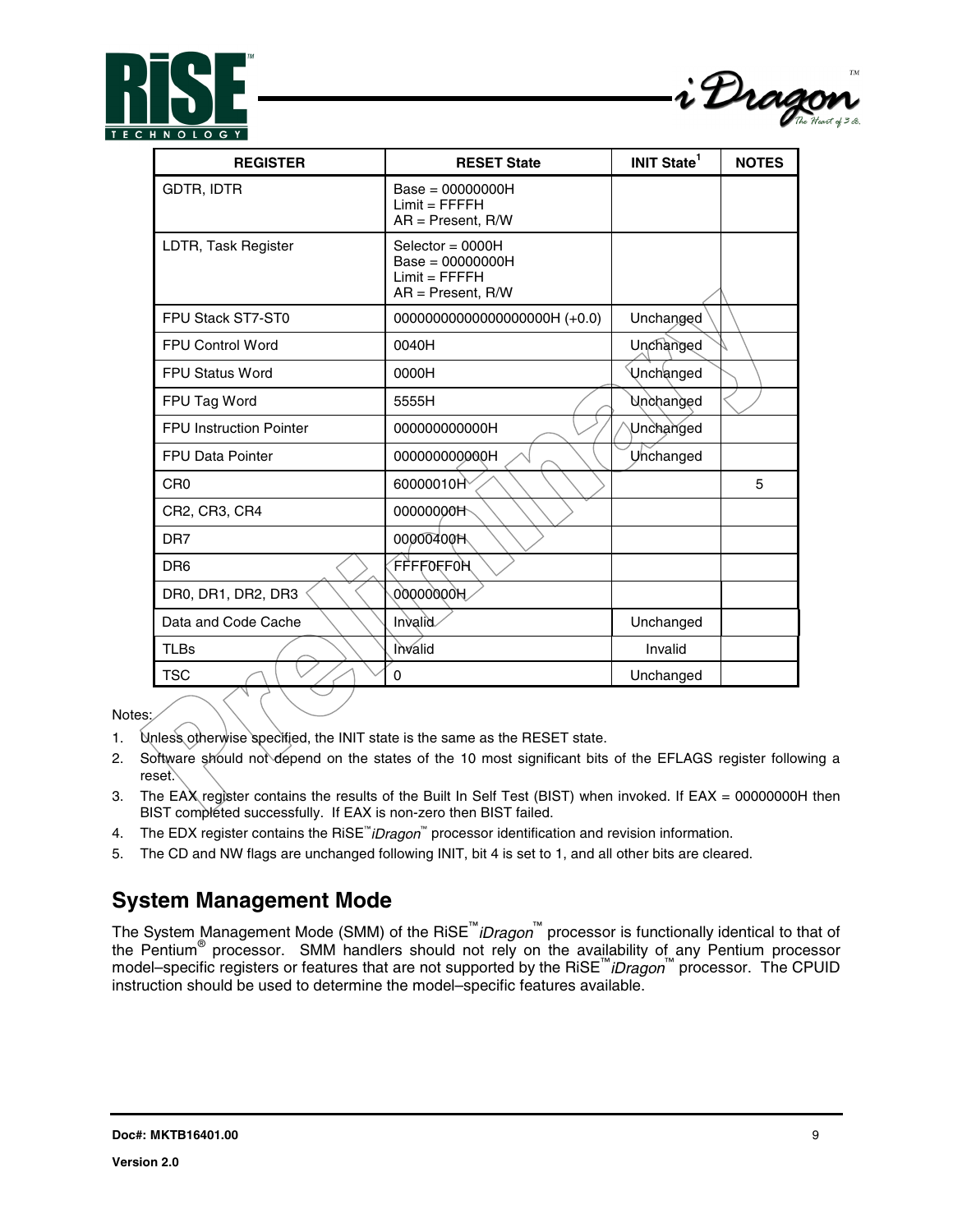



| <b>REGISTER</b>                | <b>RESET State</b>                                                                 | <b>INIT State</b> <sup>1</sup> | <b>NOTES</b> |
|--------------------------------|------------------------------------------------------------------------------------|--------------------------------|--------------|
| <b>GDTR, IDTR</b>              | $Base = 00000000H$<br>$Limit = FFFFH$<br>$AR = Present$ , R/W                      |                                |              |
| LDTR, Task Register            | Selector = $0000H$<br>$Base = 00000000H$<br>$Limit = FFFFH$<br>$AR = Present, R/W$ |                                |              |
| FPU Stack ST7-ST0              | 000000000000000000000H (+0.0)                                                      | Unchanged                      |              |
| <b>FPU Control Word</b>        | 0040H                                                                              | Unchanged                      |              |
| <b>FPU Status Word</b>         | 0000H                                                                              | Unchanged                      |              |
| FPU Tag Word                   | 5555H                                                                              | Unchanged                      |              |
| <b>FPU Instruction Pointer</b> | 000000000000H                                                                      | Unchanged                      |              |
| <b>FPU Data Pointer</b>        | 00000000000H                                                                       | Unchanged                      |              |
| C <sub>R0</sub>                | 60000010H                                                                          |                                | 5            |
| CR2, CR3, CR4                  | 00000000H                                                                          |                                |              |
| DR <sub>7</sub>                | 00000400H                                                                          |                                |              |
| D <sub>R6</sub>                | FFFFOFFOH                                                                          |                                |              |
| DR0, DR1, DR2, DR3             | 00000000H                                                                          |                                |              |
| Data and Code Cache            | Invalid                                                                            | Unchanged                      |              |
| <b>TLBs</b>                    | Invalid                                                                            | Invalid                        |              |
| <b>TSC</b>                     | 0                                                                                  | Unchanged                      |              |

#### Notes:

- 1. Unless otherwise specified, the INIT state is the same as the RESET state.
- 2. Software should not depend on the states of the 10 most significant bits of the EFLAGS register following a reset.
- 3. The EAX register contains the results of the Built In Self Test (BIST) when invoked. If EAX = 00000000H then BIST completed successfully. If EAX is non-zero then BIST failed.
- 4. The EDX register contains the RiSE™ *iDragon*™ processor identification and revision information.
- 5. The CD and NW flags are unchanged following INIT, bit 4 is set to 1, and all other bits are cleared.

## **System Management Mode**

The System Management Mode (SMM) of the RiSE™*iDragon*™ processor is functionally identical to that of the Pentium® processor. SMM handlers should not rely on the availability of any Pentium processor model–specific registers or features that are not supported by the RiSE™*iDragon*™ processor. The CPUID instruction should be used to determine the model–specific features available.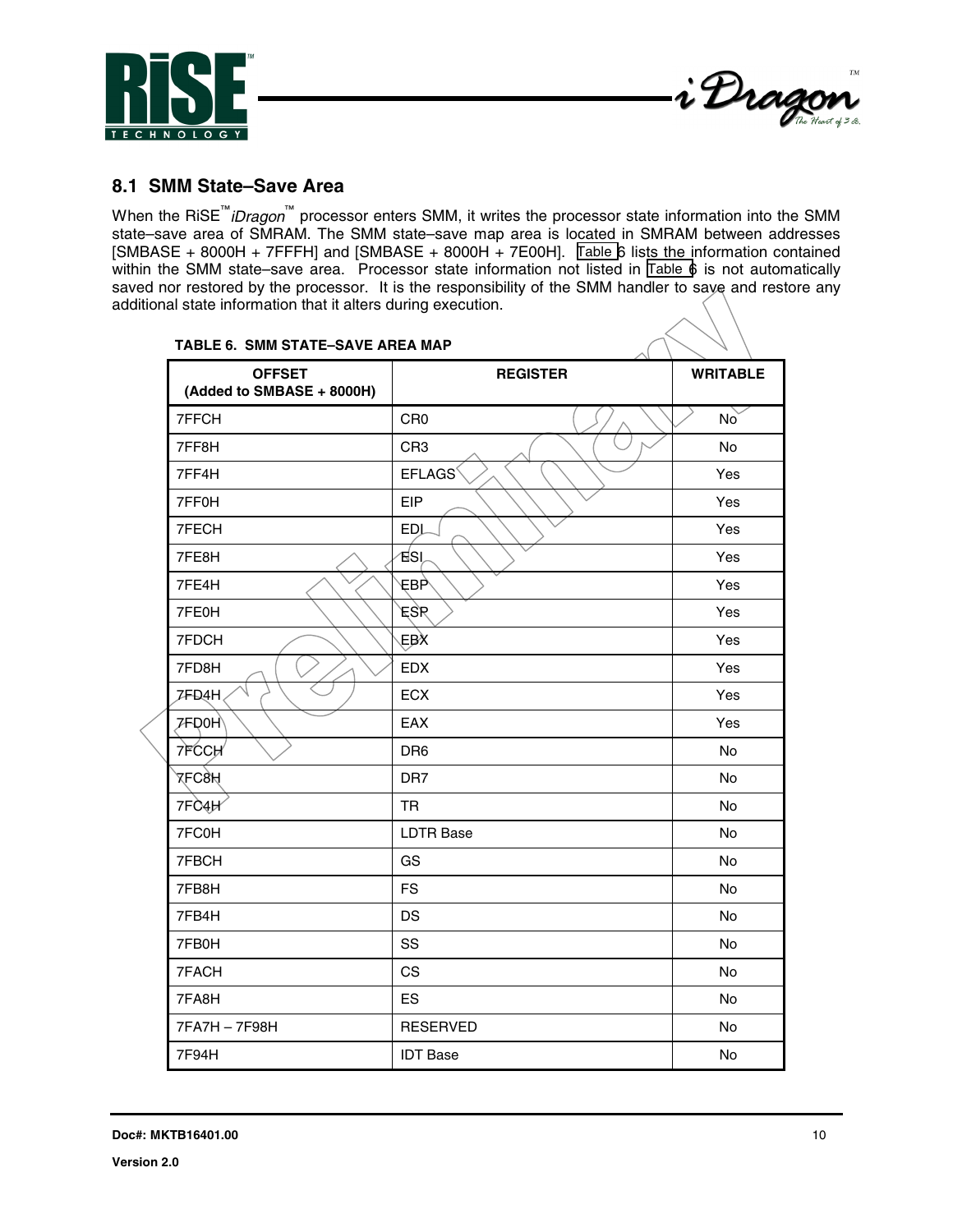



## **8.1 SMM State–Save Area**

When the RiSE™*iDragon*™ processor enters SMM, it writes the processor state information into the SMM state–save area of SMRAM. The SMM state–save map area is located in SMRAM between addresses [SMBASE + 8000H + 7FFFH] and [SMBASE + 8000H + 7E00H]. Table 6 lists the information contained within the SMM state–save area. Processor state information not listed in Table 6 is not automatically saved nor restored by the processor. It is the responsibility of the SMM handler to saye and restore any additional state information that it alters during execution.

| IABLE 6. SMM STATE-SAVE AREA MAP<br>Λ      |                  |                 |  |
|--------------------------------------------|------------------|-----------------|--|
| <b>OFFSET</b><br>(Added to SMBASE + 8000H) | <b>REGISTER</b>  | <b>WRITABLE</b> |  |
| 7FFCH                                      | CR <sub>0</sub>  | No              |  |
| 7FF8H                                      | CR <sub>3</sub>  | No              |  |
| 7FF4H                                      | <b>EFLAGS</b>    | Yes             |  |
| 7FF0H                                      | <b>EIP</b>       | Yes             |  |
| 7FECH                                      | <b>EDL</b>       | Yes             |  |
| 7FE8H                                      | ัธีSl            | Yes             |  |
| 7FE4H                                      | €Bϧ              | Yes             |  |
| 7FE0H                                      | ESR              | Yes             |  |
| 7FDCH                                      | EB∕X             | Yes             |  |
| 7FD8H                                      | <b>EDX</b>       | Yes             |  |
| <b>ZFD4H</b>                               | <b>ECX</b>       | Yes             |  |
| <b>7FD0H</b>                               | EAX              | Yes             |  |
| 7FCCH                                      | DR <sub>6</sub>  | No              |  |
| XLC8H                                      | DR7              | No              |  |
| 7FC4H                                      | <b>TR</b>        | <b>No</b>       |  |
| 7FC0H                                      | <b>LDTR Base</b> | No              |  |
| 7FBCH                                      | GS               | No              |  |
| 7FB8H                                      | <b>FS</b>        | <b>No</b>       |  |
| 7FB4H                                      | <b>DS</b>        | <b>No</b>       |  |
| 7FB0H                                      | SS               | No              |  |
| 7FACH                                      | CS               | No              |  |
| 7FA8H                                      | <b>ES</b>        | <b>No</b>       |  |
| 7FA7H - 7F98H                              | <b>RESERVED</b>  | No              |  |
| 7F94H                                      | <b>IDT Base</b>  | No              |  |

#### **TABLE 6. SMM STATE–SAVE AREA MAP**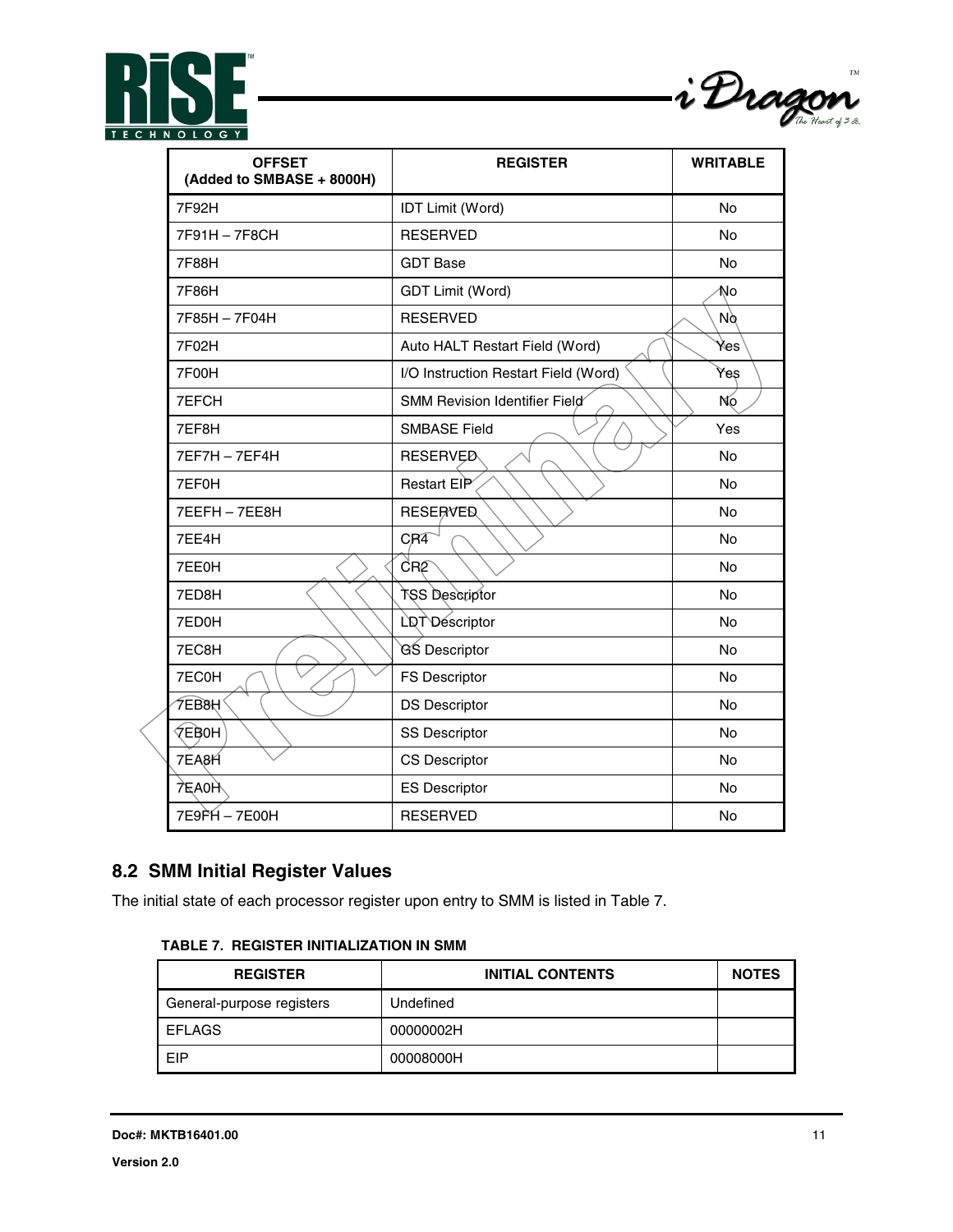



| <b>OFFSET</b><br>(Added to SMBASE + 8000H) | <b>REGISTER</b>                      | <b>WRITABLE</b> |
|--------------------------------------------|--------------------------------------|-----------------|
| 7F92H                                      | <b>IDT Limit (Word)</b>              | <b>No</b>       |
| 7F91H-7F8CH                                | <b>RESERVED</b>                      | No              |
| 7F88H                                      | <b>GDT Base</b>                      | No              |
| 7F86H                                      | <b>GDT Limit (Word)</b>              | No              |
| 7F85H-7F04H                                | <b>RESERVED</b>                      | Nø              |
| 7F02H                                      | Auto HALT Restart Field (Word)       | Yes             |
| <b>7F00H</b>                               | I/O Instruction Restart Field (Word) | Yeş             |
| 7EFCH                                      | SMM Revision Identifier Field        | No              |
| 7EF8H                                      | <b>SMBASE Field</b>                  | Yes             |
| 7EF7H-7EF4H                                | <b>RESERVED</b>                      | No              |
| 7EF0H                                      | Restart ElP                          | <b>No</b>       |
| 7EEFH-7EE8H                                | <b>RESERVED</b>                      | No              |
| 7EE4H                                      | CR <sub>4</sub>                      | <b>No</b>       |
| 7EE0H                                      | CRO                                  | No              |
| 7ED8H                                      | TSS Descriptor                       | No              |
| 7ED0H                                      | LDT Descriptor                       | No              |
| 7EC8H                                      | GS Descriptor                        | No              |
| 7EC0H                                      | <b>FS Descriptor</b>                 | No              |
| ∕ี FEB8H                                   | <b>DS Descriptor</b>                 | No              |
| <b>VEBOH</b>                               | <b>SS Descriptor</b>                 | No              |
| 7EA <sub>8H</sub>                          | <b>CS Descriptor</b>                 | No              |
| 7EA0H                                      | <b>ES Descriptor</b>                 | <b>No</b>       |
| 7E9PH - 7E00H                              | <b>RESERVED</b>                      | No              |

## **8.2 SMM Initial Register Values**

The initial state of each processor register upon entry to SMM is listed in Table 7.

#### **TABLE 7. REGISTER INITIALIZATION IN SMM**

| <b>REGISTER</b>           | <b>INITIAL CONTENTS</b> | <b>NOTES</b> |
|---------------------------|-------------------------|--------------|
| General-purpose registers | Undefined               |              |
| <b>EFLAGS</b>             | 00000002H               |              |
| EIP                       | 00008000H               |              |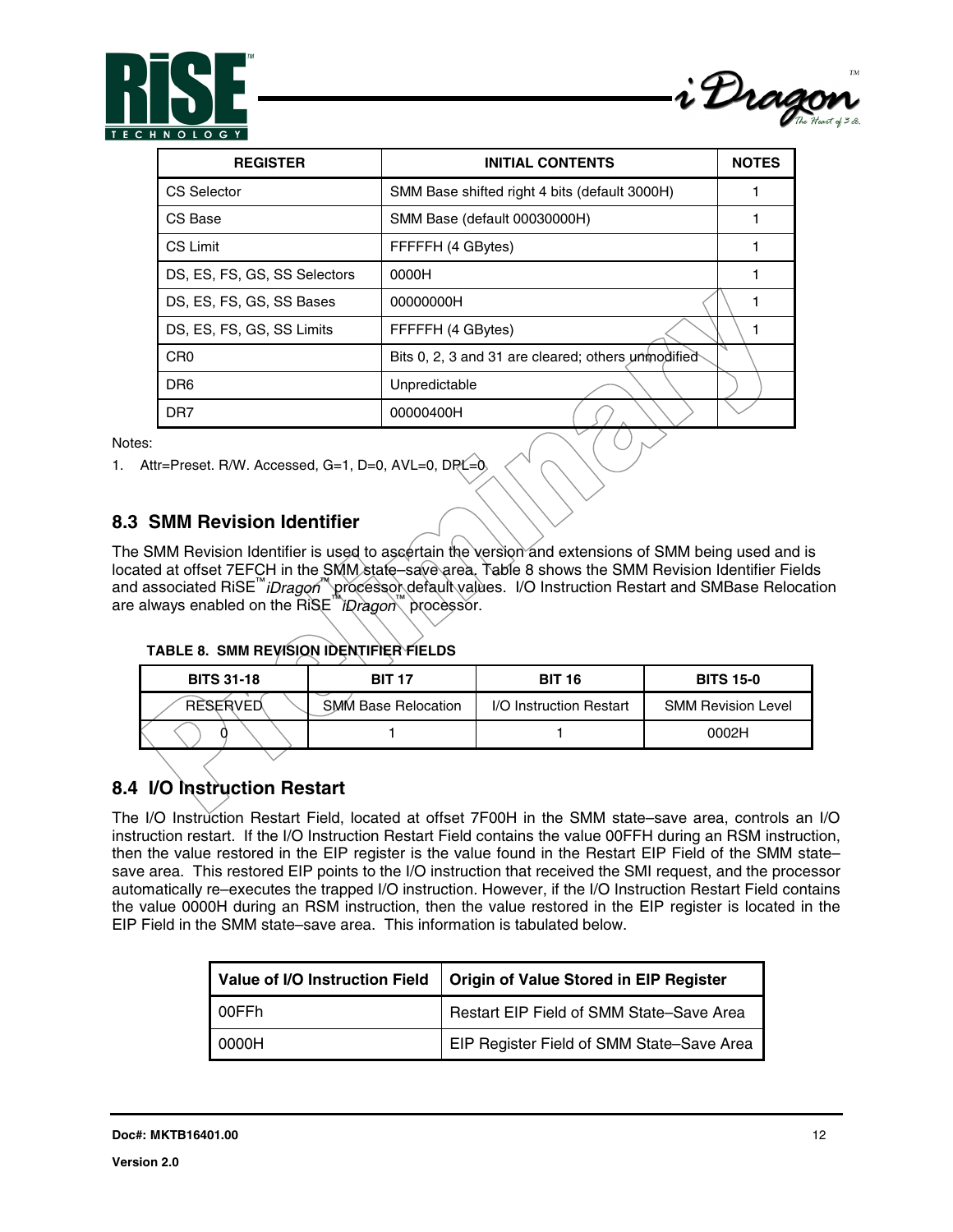



| <b>REGISTER</b>              | <b>INITIAL CONTENTS</b>                            | <b>NOTES</b> |
|------------------------------|----------------------------------------------------|--------------|
| CS Selector                  | SMM Base shifted right 4 bits (default 3000H)      |              |
| CS Base                      | SMM Base (default 00030000H)                       |              |
| CS Limit                     | FFFFFH (4 GBytes)                                  |              |
| DS, ES, FS, GS, SS Selectors | 0000H                                              |              |
| DS, ES, FS, GS, SS Bases     | 00000000H                                          |              |
| DS, ES, FS, GS, SS Limits    | FFFFFH (4 GBytes)                                  |              |
| C <sub>R0</sub>              | Bits 0, 2, 3 and 31 are cleared; others unmodified |              |
| DR <sub>6</sub>              | Unpredictable                                      |              |
| DR <sub>7</sub>              | 00000400H                                          |              |

Notes:

1. Attr=Preset. R/W. Accessed, G=1, D=0, AVL=0, DRL=0,

### **8.3 SMM Revision Identifier**

The SMM Revision Identifier is used to ascertain the version and extensions of SMM being used and is located at offset 7EFCH in the SMM state–save area. Table 8 shows the SMM Revision Identifier Fields and associated RiSE™*iDragon*™ processor default values. I/O Instruction Restart and SMBase Relocation are always enabled on the RiSE™*iDragon*™ processor.

| <b>TABLE 8. SMM REVISION IDENTIFIER FIELDS</b> |  |  |  |
|------------------------------------------------|--|--|--|
|                                                |  |  |  |

| <b>BITS 31-18</b> | <b>BIT 17</b>       | <b>BIT 16</b>           | <b>BITS 15-0</b>          |
|-------------------|---------------------|-------------------------|---------------------------|
| <b>RESERVED</b>   | SMM Base Relocation | I/O Instruction Restart | <b>SMM Revision Level</b> |
|                   |                     |                         | 0002H                     |

## **8.4 I/O Instruction Restart**

The I/O Instruction Restart Field, located at offset 7F00H in the SMM state–save area, controls an I/O instruction restart. If the I/O Instruction Restart Field contains the value 00FFH during an RSM instruction, then the value restored in the EIP register is the value found in the Restart EIP Field of the SMM state– save area. This restored EIP points to the I/O instruction that received the SMI request, and the processor automatically re–executes the trapped I/O instruction. However, if the I/O Instruction Restart Field contains the value 0000H during an RSM instruction, then the value restored in the EIP register is located in the EIP Field in the SMM state–save area. This information is tabulated below.

| Value of I/O Instruction Field | Origin of Value Stored in EIP Register    |
|--------------------------------|-------------------------------------------|
| I 00FFh                        | Restart EIP Field of SMM State-Save Area  |
| 0000H                          | EIP Register Field of SMM State-Save Area |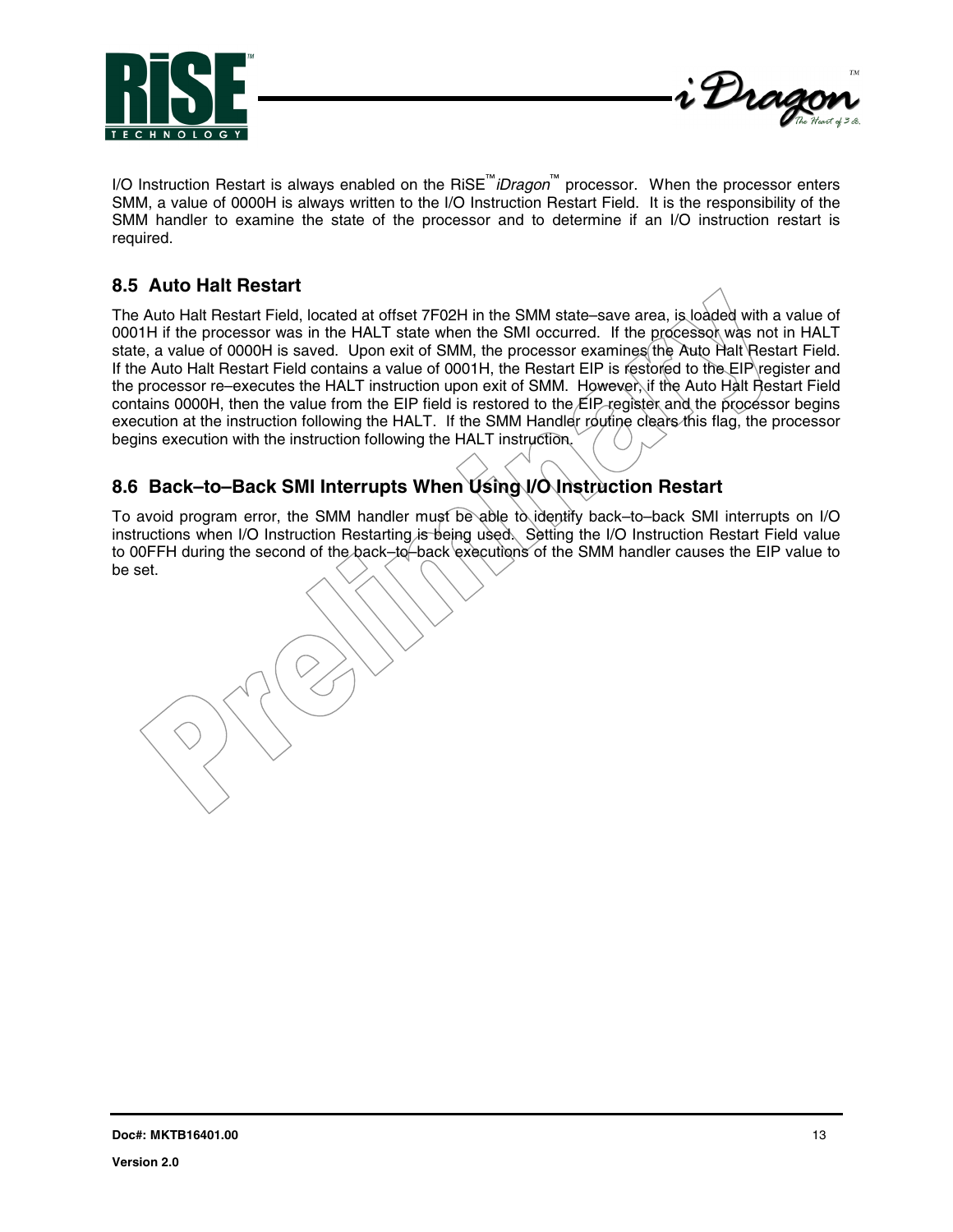



I/O Instruction Restart is always enabled on the RiSE™*iDragon*™ processor. When the processor enters SMM, a value of 0000H is always written to the I/O Instruction Restart Field. It is the responsibility of the SMM handler to examine the state of the processor and to determine if an I/O instruction restart is required.

## **8.5 Auto Halt Restart**

The Auto Halt Restart Field, located at offset 7F02H in the SMM state–save area, is loaded with a value of 0001H if the processor was in the HALT state when the SMI occurred. If the processor was not in HALT state, a value of 0000H is saved. Upon exit of SMM, the processor examines the Auto Halt Restart Field. If the Auto Halt Restart Field contains a value of 0001H, the Restart EIP is restored to the EIP register and the processor re–executes the HALT instruction upon exit of SMM. However, if the Auto Halt Restart Field contains 0000H, then the value from the EIP field is restored to the EIP register and the processor begins execution at the instruction following the HALT. If the SMM Handler routine clears this flag, the processor begins execution with the instruction following the HALT instruction.

## **8.6 Back–to–Back SMI Interrupts When Using I/O Instruction Restart**

To avoid program error, the SMM handler must be able to identify back–to–back SMI interrupts on I/O instructions when I/O Instruction Restarting is being used. Setting the I/O Instruction Restart Field value to 00FFH during the second of the back–to–back executions of the SMM handler causes the EIP value to be set.

**Doc#: MKTB16401.00** 13